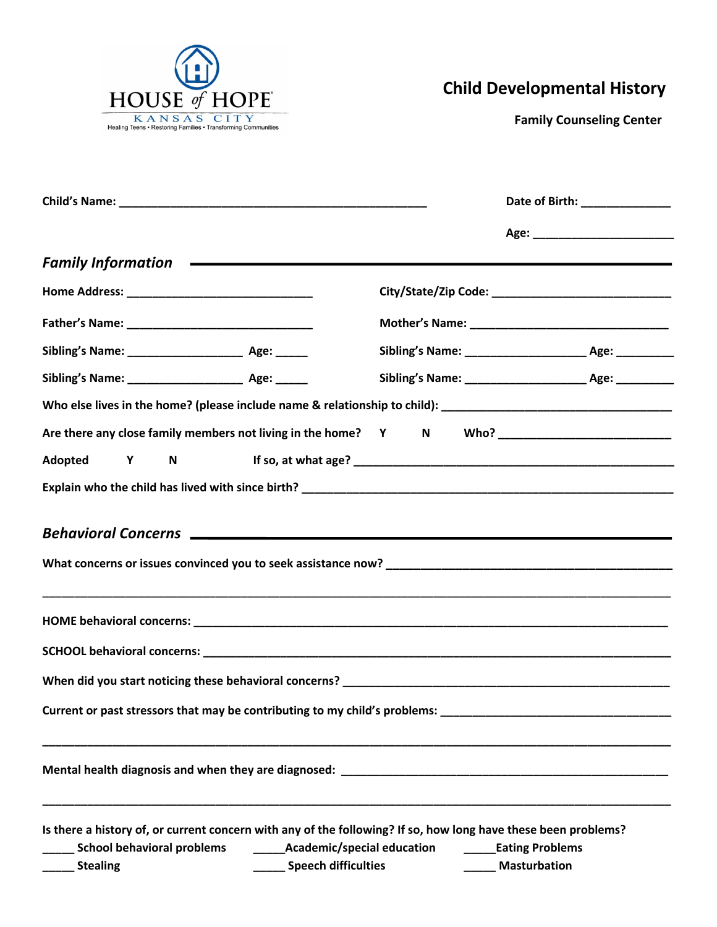

## **Child Developmental History**

 **Family Counseling Center**

|                                                                                                                                                                                                                                     |                                                            |  |                                               | Date of Birth: ________________ |
|-------------------------------------------------------------------------------------------------------------------------------------------------------------------------------------------------------------------------------------|------------------------------------------------------------|--|-----------------------------------------------|---------------------------------|
|                                                                                                                                                                                                                                     |                                                            |  |                                               |                                 |
|                                                                                                                                                                                                                                     |                                                            |  |                                               |                                 |
|                                                                                                                                                                                                                                     |                                                            |  |                                               |                                 |
|                                                                                                                                                                                                                                     |                                                            |  |                                               |                                 |
|                                                                                                                                                                                                                                     |                                                            |  |                                               |                                 |
|                                                                                                                                                                                                                                     |                                                            |  |                                               |                                 |
| Who else lives in the home? (please include name & relationship to child): ___________________________________                                                                                                                      |                                                            |  |                                               |                                 |
| Are there any close family members not living in the home? Y N Who? ________________________________                                                                                                                                |                                                            |  |                                               |                                 |
| Adopted Y                                                                                                                                                                                                                           |                                                            |  |                                               |                                 |
|                                                                                                                                                                                                                                     |                                                            |  |                                               |                                 |
| Behavioral Concerns <u>experience</u> and the set of the set of the set of the set of the set of the set of the set of the set of the set of the set of the set of the set of the set of the set of the set of the set of the set o |                                                            |  |                                               |                                 |
|                                                                                                                                                                                                                                     |                                                            |  |                                               |                                 |
|                                                                                                                                                                                                                                     |                                                            |  |                                               |                                 |
|                                                                                                                                                                                                                                     |                                                            |  |                                               |                                 |
| Current or past stressors that may be contributing to my child's problems:                                                                                                                                                          |                                                            |  |                                               |                                 |
|                                                                                                                                                                                                                                     |                                                            |  |                                               |                                 |
| Is there a history of, or current concern with any of the following? If so, how long have these been problems?<br><b>School behavioral problems</b><br><b>Stealing</b>                                                              | _________Academic/special education<br>Speech difficulties |  | <b>Eating Problems</b><br><b>Masturbation</b> |                                 |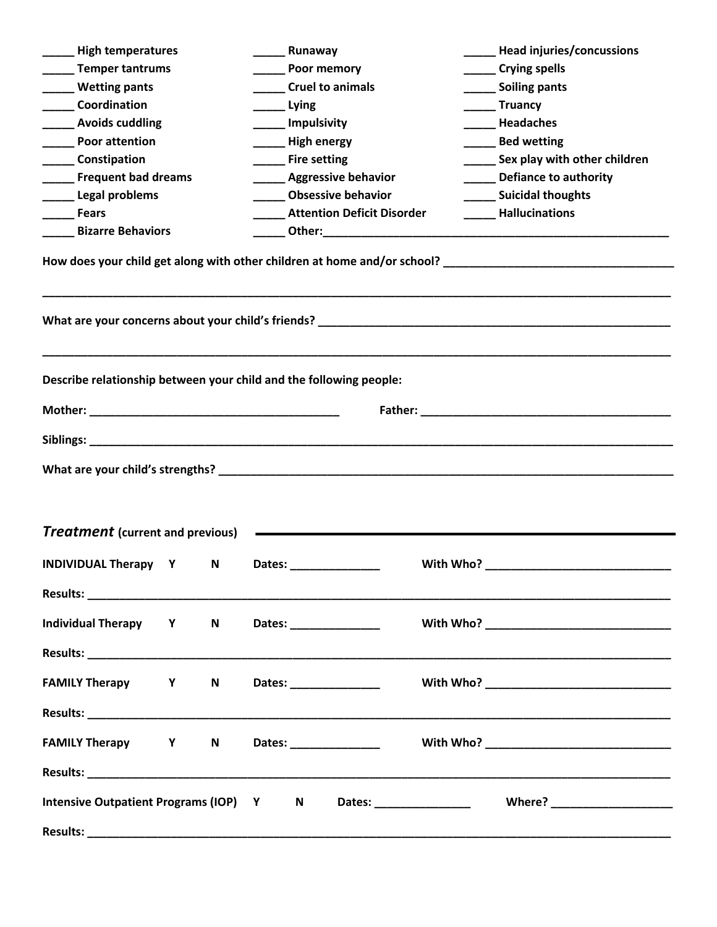| <b>High temperatures</b>                                           |   |   |        | Runaway              |                                      |                                   |           |                         | <b>Head injuries/concussions</b>                                                                                 |  |
|--------------------------------------------------------------------|---|---|--------|----------------------|--------------------------------------|-----------------------------------|-----------|-------------------------|------------------------------------------------------------------------------------------------------------------|--|
| ___ Temper tantrums                                                |   |   |        | Poor memory          |                                      |                                   |           | Crying spells           |                                                                                                                  |  |
| Wetting pants                                                      |   |   |        |                      | <b>Cruel to animals</b>              |                                   |           | Soiling pants           |                                                                                                                  |  |
| <b>Coordination</b>                                                |   |   |        | ____ Lying           |                                      |                                   |           | ______Truancy           |                                                                                                                  |  |
| <b>Example 2 Avoids cuddling</b>                                   |   |   |        | _______ Impulsivity  |                                      |                                   |           | <b>Headaches</b>        |                                                                                                                  |  |
| <b>Poor attention</b>                                              |   |   |        | High energy          |                                      |                                   |           | _____ Bed wetting       |                                                                                                                  |  |
| ______ Constipation                                                |   |   |        | _______ Fire setting |                                      |                                   |           |                         | _______ Sex play with other children                                                                             |  |
| <b>Example 1 Frequent bad dreams</b>                               |   |   |        |                      | <b>Example 2 Aggressive behavior</b> |                                   |           |                         | _____ Defiance to authority                                                                                      |  |
| Legal problems                                                     |   |   |        |                      | <b>Obsessive behavior</b>            |                                   |           | _____ Suicidal thoughts |                                                                                                                  |  |
| <b>Fears</b>                                                       |   |   |        |                      |                                      | <b>Attention Deficit Disorder</b> |           | <b>Hallucinations</b>   |                                                                                                                  |  |
| <b>Bizarre Behaviors</b>                                           |   |   |        |                      |                                      |                                   |           |                         |                                                                                                                  |  |
|                                                                    |   |   |        |                      |                                      |                                   |           |                         |                                                                                                                  |  |
| Describe relationship between your child and the following people: |   |   |        |                      |                                      |                                   |           |                         |                                                                                                                  |  |
|                                                                    |   |   |        |                      |                                      |                                   |           |                         | Father: The Commission of the Commission of the Commission of the Commission of the Commission of the Commission |  |
|                                                                    |   |   |        |                      |                                      |                                   |           |                         |                                                                                                                  |  |
|                                                                    |   |   |        |                      |                                      |                                   |           |                         |                                                                                                                  |  |
|                                                                    |   |   |        |                      |                                      |                                   |           |                         |                                                                                                                  |  |
|                                                                    |   |   |        |                      |                                      |                                   |           |                         |                                                                                                                  |  |
| <b>Treatment</b> (current and previous)                            |   |   |        |                      |                                      |                                   |           |                         |                                                                                                                  |  |
|                                                                    |   |   |        |                      |                                      |                                   |           |                         |                                                                                                                  |  |
| <b>INDIVIDUAL Therapy</b>                                          | Υ | N | Dates: |                      |                                      |                                   | With Who? |                         |                                                                                                                  |  |
|                                                                    |   |   |        |                      |                                      |                                   |           |                         |                                                                                                                  |  |
|                                                                    |   |   |        |                      |                                      |                                   |           |                         |                                                                                                                  |  |
| Individual Therapy Y                                               |   | N |        |                      | Dates: ________________              |                                   |           |                         |                                                                                                                  |  |
|                                                                    |   |   |        |                      |                                      |                                   |           |                         |                                                                                                                  |  |
|                                                                    |   |   |        |                      |                                      |                                   |           |                         |                                                                                                                  |  |
| <b>FAMILY Therapy Y</b>                                            |   | N |        |                      | Dates: _______________               |                                   |           |                         |                                                                                                                  |  |
|                                                                    |   |   |        |                      |                                      |                                   |           |                         |                                                                                                                  |  |
|                                                                    |   |   |        |                      |                                      |                                   |           |                         |                                                                                                                  |  |
| <b>FAMILY Therapy Y</b>                                            |   | N |        |                      |                                      |                                   |           |                         |                                                                                                                  |  |
|                                                                    |   |   |        |                      |                                      |                                   |           |                         |                                                                                                                  |  |
|                                                                    |   |   |        |                      |                                      |                                   |           |                         |                                                                                                                  |  |
|                                                                    |   |   |        |                      |                                      |                                   |           |                         |                                                                                                                  |  |
| Intensive Outpatient Programs (IOP) Y N                            |   |   |        |                      |                                      |                                   |           |                         |                                                                                                                  |  |
|                                                                    |   |   |        |                      |                                      |                                   |           |                         |                                                                                                                  |  |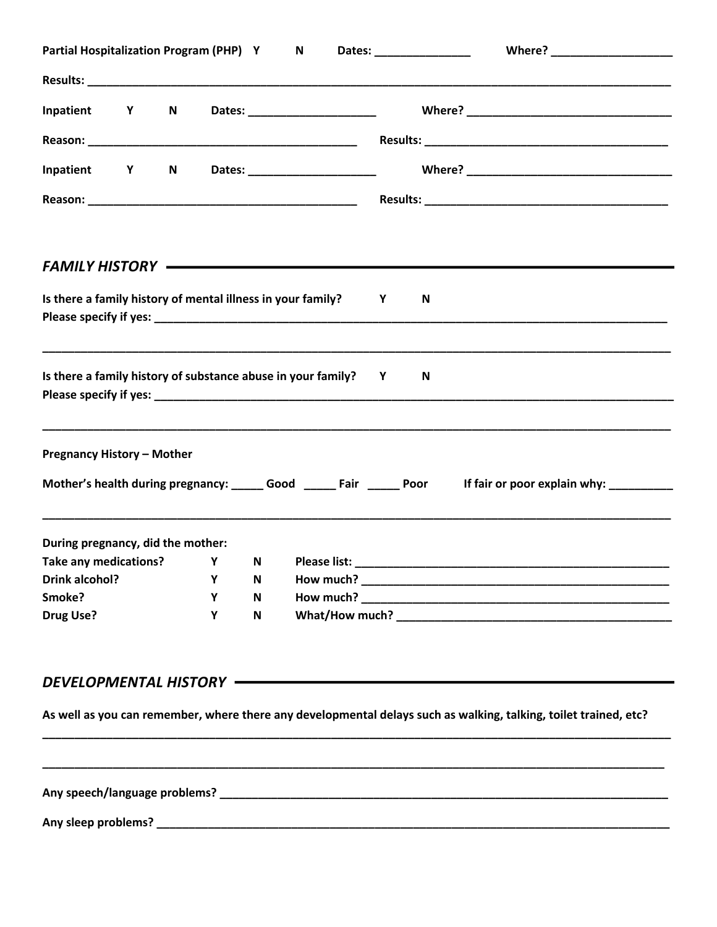|                                                                                     | Partial Hospitalization Program (PHP) Y | N           | Dates: __________________                                            |
|-------------------------------------------------------------------------------------|-----------------------------------------|-------------|----------------------------------------------------------------------|
|                                                                                     |                                         |             |                                                                      |
| Inpatient Y<br>N                                                                    |                                         |             |                                                                      |
|                                                                                     |                                         |             |                                                                      |
| Inpatient Y<br>N                                                                    |                                         |             |                                                                      |
|                                                                                     |                                         |             |                                                                      |
|                                                                                     |                                         |             | FAMILY HISTORY ———————————————————————                               |
| Is there a family history of mental illness in your family?                         |                                         |             | $\mathsf{Y}$<br>N                                                    |
| Is there a family history of substance abuse in your family? Y                      |                                         |             | N.                                                                   |
|                                                                                     |                                         |             |                                                                      |
| <b>Pregnancy History - Mother</b>                                                   |                                         |             |                                                                      |
|                                                                                     |                                         |             | Mother's health during pregnancy: ______ Good ______ Fair _____ Poor |
|                                                                                     |                                         |             |                                                                      |
|                                                                                     | Y -                                     | N           |                                                                      |
| During pregnancy, did the mother:<br>Take any medications?<br><b>Drink alcohol?</b> | Υ                                       | N           | If fair or poor explain why: _________                               |
| Smoke?                                                                              | Y                                       | $\mathbf N$ |                                                                      |

## DEVELOPMENTAL HISTORY **- The CONSTRUCTION**

As well as you can remember, where there any developmental delays such as walking, talking, toilet trained, etc?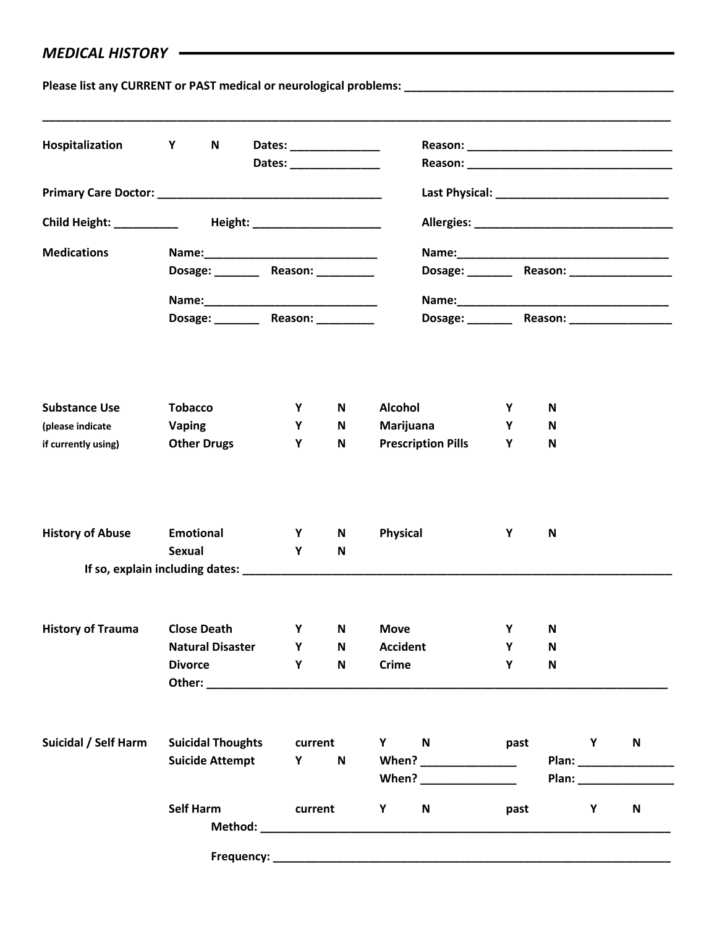## *MEDICAL HISTORY*

**Please list any CURRENT or PAST medical or neurological problems: \_\_\_\_\_\_\_\_\_\_\_\_\_\_\_\_\_\_\_\_\_\_\_\_\_\_\_\_\_\_\_\_\_\_\_\_\_\_\_\_\_\_**

| Hospitalization                         | <b>Y</b><br>N                         | Dates: ________________<br>Dates: _______________ |              |                                                                                                                                                                                                                               |        |                      |              |  |  |
|-----------------------------------------|---------------------------------------|---------------------------------------------------|--------------|-------------------------------------------------------------------------------------------------------------------------------------------------------------------------------------------------------------------------------|--------|----------------------|--------------|--|--|
|                                         |                                       |                                                   |              |                                                                                                                                                                                                                               |        |                      |              |  |  |
|                                         |                                       |                                                   |              |                                                                                                                                                                                                                               |        |                      |              |  |  |
| <b>Medications</b>                      |                                       |                                                   |              |                                                                                                                                                                                                                               |        |                      |              |  |  |
|                                         | Dosage: __________ Reason: __________ |                                                   |              |                                                                                                                                                                                                                               |        |                      |              |  |  |
|                                         |                                       |                                                   |              |                                                                                                                                                                                                                               |        |                      |              |  |  |
|                                         | Dosage: _________ Reason: __________  |                                                   |              |                                                                                                                                                                                                                               |        |                      |              |  |  |
|                                         |                                       |                                                   |              |                                                                                                                                                                                                                               |        |                      |              |  |  |
| <b>Substance Use</b>                    | <b>Tobacco</b>                        | Y<br>Y                                            | N            | <b>Alcohol</b>                                                                                                                                                                                                                | Y      | N                    |              |  |  |
| (please indicate<br>if currently using) | <b>Vaping</b><br><b>Other Drugs</b>   | Y                                                 | N<br>N       | Marijuana<br><b>Prescription Pills</b>                                                                                                                                                                                        | Y<br>Υ | N<br>N               |              |  |  |
|                                         |                                       |                                                   |              |                                                                                                                                                                                                                               |        |                      |              |  |  |
| <b>History of Abuse</b>                 | <b>Emotional</b>                      | Y                                                 | N            | Physical                                                                                                                                                                                                                      | Y      | N                    |              |  |  |
|                                         | Sexual                                | Y                                                 | N            |                                                                                                                                                                                                                               |        |                      |              |  |  |
|                                         |                                       |                                                   |              |                                                                                                                                                                                                                               |        |                      |              |  |  |
| <b>History of Trauma</b>                | <b>Close Death</b>                    | Υ                                                 | N            | <b>Move</b>                                                                                                                                                                                                                   | Υ      | N                    |              |  |  |
|                                         | <b>Natural Disaster</b>               | Υ                                                 | N            | <b>Accident</b>                                                                                                                                                                                                               | Υ      | N                    |              |  |  |
|                                         | <b>Divorce</b>                        | Y -                                               | $\mathsf{N}$ | <b>Crime</b>                                                                                                                                                                                                                  | Y      | ${\bf N}$            |              |  |  |
| Suicidal / Self Harm                    | <b>Suicidal Thoughts</b>              | current                                           |              | Y N                                                                                                                                                                                                                           | past   | $\mathsf{Y}$         | $\mathsf{N}$ |  |  |
|                                         | <b>Suicide Attempt</b>                | <b>Y</b>                                          | $\mathsf{N}$ | When? _________________                                                                                                                                                                                                       |        |                      |              |  |  |
|                                         |                                       |                                                   |              | When? Note that the set of the set of the set of the set of the set of the set of the set of the set of the set of the set of the set of the set of the set of the set of the set of the set of the set of the set of the set |        | Plan: New York Plane |              |  |  |
|                                         | <b>Self Harm</b>                      | current                                           |              | N<br>Y                                                                                                                                                                                                                        | past   | Y                    | $\mathsf{N}$ |  |  |
|                                         |                                       | Frequency: ____________                           |              |                                                                                                                                                                                                                               |        |                      |              |  |  |